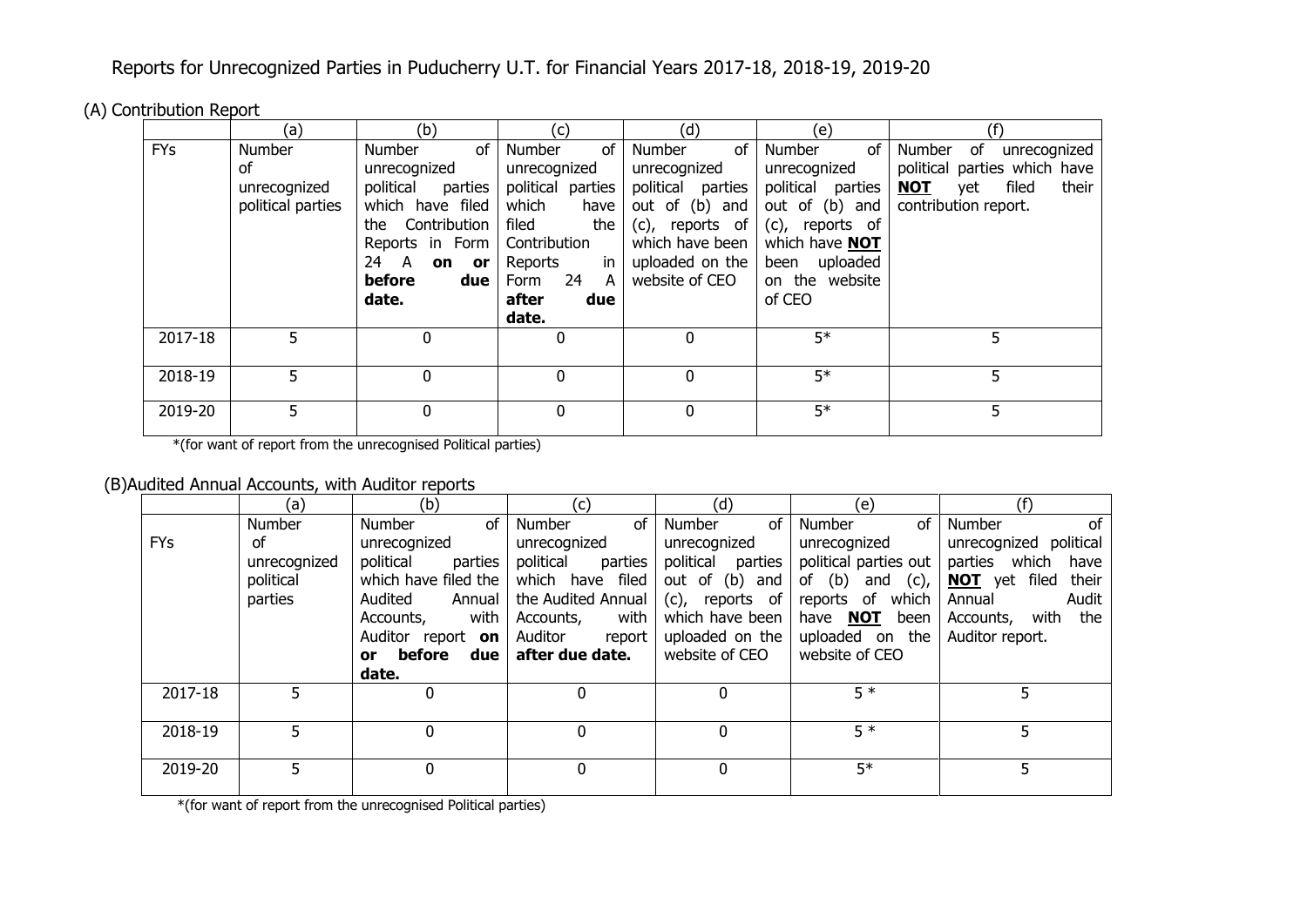Reports for Unrecognized Parties in Puducherry U.T. for Financial Years 2017-18, 2018-19, 2019-20

(A) Contribution Report

|            | (a)               | (b)                  | (c)               | (d)                   | (e)                  | (f)                                 |
|------------|-------------------|----------------------|-------------------|-----------------------|----------------------|-------------------------------------|
| <b>FYs</b> | Number            | of<br>Number         | of<br>Number      | of<br>Number          | Number<br>of         | of<br>Number<br>unrecognized        |
|            | of                | unrecognized         | unrecognized      | unrecognized          | unrecognized         | political parties which have        |
|            | unrecognized      | political<br>parties | political parties | political<br>parties  | political<br>parties | filed<br>their<br><b>NOT</b><br>yet |
|            | political parties | which have filed     | which<br>have     | out of (b) and        | out of (b) and       | contribution report.                |
|            |                   | Contribution<br>the  | the<br>filed      | $(c)$ ,<br>reports of | (c), reports of      |                                     |
|            |                   | Reports in Form      | Contribution      | which have been       | which have NOT       |                                     |
|            |                   | 24<br>A<br>on or     | in<br>Reports     | uploaded on the       | been uploaded        |                                     |
|            |                   | before<br>due        | -24<br>A<br>Form  | website of CEO        | on the website       |                                     |
|            |                   | date.                | after<br>due      |                       | of CEO               |                                     |
|            |                   |                      | date.             |                       |                      |                                     |
| 2017-18    | 5.                | 0                    | 0                 | $\Omega$              | $5*$                 | 5                                   |
|            |                   |                      |                   |                       |                      |                                     |
| 2018-19    | 5                 | $\mathbf{0}$         | 0                 | 0                     | $5*$                 | 5                                   |
|            |                   |                      |                   |                       |                      |                                     |
| 2019-20    | 5                 | 0                    | 0                 | 0                     | $5*$                 | 5                                   |
|            |                   |                      |                   |                       |                      |                                     |

\*(for want of report from the unrecognised Political parties)

## (B)Audited Annual Accounts, with Auditor reports

|            | (a)          | (b)                  | (c)                  | (d)                  | (e)                     | (f)                           |
|------------|--------------|----------------------|----------------------|----------------------|-------------------------|-------------------------------|
|            | Number       | of<br><b>Number</b>  | of<br>Number         | of<br>Number         | of<br>Number            | of<br>Number                  |
| <b>FYs</b> | οf           | unrecognized         | unrecognized         | unrecognized         | unrecognized            | political<br>unrecognized     |
|            | unrecognized | political<br>parties | political<br>parties | political<br>parties | political parties out   | parties<br>which<br>have      |
|            | political    | which have filed the | which have filed     | out of (b) and       | of $(b)$<br>and $(c)$ , | <b>NOT</b> yet filed<br>their |
|            | parties      | Audited<br>Annual    | the Audited Annual   | (c), reports of      | of<br>reports<br>which  | Audit<br>Annual               |
|            |              | with<br>Accounts,    | with<br>Accounts,    | which have been      | NOT<br>been<br>have     | with the<br>Accounts,         |
|            |              | Auditor report on    | Auditor<br>report    | uploaded on the      | uploaded on the         | Auditor report.               |
|            |              | or before<br>due     | after due date.      | website of CEO       | website of CEO          |                               |
|            |              | date.                |                      |                      |                         |                               |
| 2017-18    |              | 0                    | 0                    |                      | $5*$                    |                               |
|            |              |                      |                      |                      |                         |                               |
| 2018-19    | 5            | 0                    | 0                    |                      | $5*$                    |                               |
|            |              |                      |                      |                      |                         |                               |
| 2019-20    | 5            | 0                    | 0                    |                      | $5*$                    |                               |
|            |              |                      |                      |                      |                         |                               |

\*(for want of report from the unrecognised Political parties)